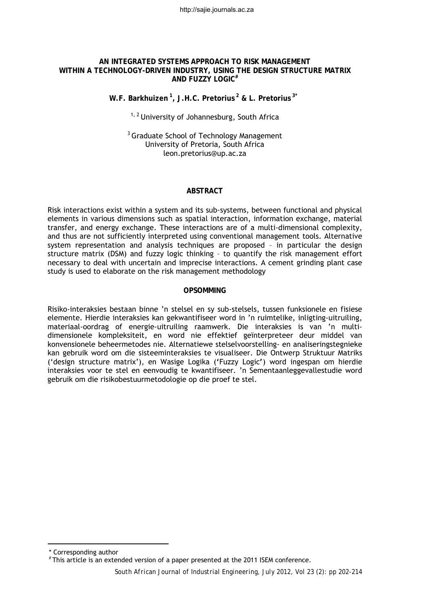http://sajie.journals.ac.za

## **AN INTEGRATED SYSTEMS APPROACH TO RISK MANAGEMENT WITHIN A TECHNOLOGY-DRIVEN INDUSTRY, USING THE DESIGN STRUCTURE MATRIX AND FUZZY LOGIC#**

**W.F. Barkhuizen 1, J.H.C. Pretorius 2 & L. Pretorius 3\*[1](#page-0-0)**

 $1, 2$  University of Johannesburg, South Africa

<sup>3</sup> Graduate School of Technology Management University of Pretoria, South Africa leon.pretorius@up.ac.za

#### **ABSTRACT**

Risk interactions exist within a system and its sub-systems, between functional and physical elements in various dimensions such as spatial interaction, information exchange, material transfer, and energy exchange. These interactions are of a multi-dimensional complexity, and thus are not sufficiently interpreted using conventional management tools. Alternative system representation and analysis techniques are proposed – in particular the design structure matrix (DSM) and fuzzy logic thinking – to quantify the risk management effort necessary to deal with uncertain and imprecise interactions. A cement grinding plant case study is used to elaborate on the risk management methodology

#### **OPSOMMING**

Risiko-interaksies bestaan binne 'n stelsel en sy sub-stelsels, tussen funksionele en fisiese elemente. Hierdie interaksies kan gekwantifiseer word in 'n ruimtelike, inligting-uitruiling, materiaal-oordrag of energie-uitruiling raamwerk. Die interaksies is van 'n multidimensionele kompleksiteit, en word nie effektief geїnterpreteer deur middel van konvensionele beheermetodes nie. Alternatiewe stelselvoorstelling- en analiseringstegnieke kan gebruik word om die sisteeminteraksies te visualiseer. Die Ontwerp Struktuur Matriks ('design structure matrix'), en Wasige Logika (**'**Fuzzy Logic**'**) word ingespan om hierdie interaksies voor te stel en eenvoudig te kwantifiseer. 'n Sementaanleggevallestudie word gebruik om die risikobestuurmetodologie op die proef te stel.

 $\overline{a}$ \* Corresponding author

<span id="page-0-0"></span> <sup>#</sup> This article is an extended version of a paper presented at the 2011 ISEM conference.

*South African Journal of Industrial Engineering, July 2012, Vol 23 (2): pp 202-214*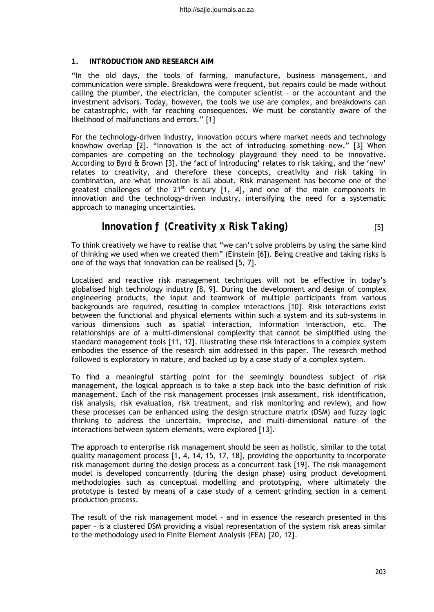## **1. INTRODUCTION AND RESEARCH AIM**

"In the old days, the tools of farming, manufacture, business management, and communication were simple. Breakdowns were frequent, but repairs could be made without calling the plumber, the electrician, the computer scientist – or the accountant and the investment advisors. Today, however, the tools we use are complex, and breakdowns can be catastrophic, with far reaching consequences. We must be constantly aware of the likelihood of malfunctions and errors." [1]

For the technology-driven industry, innovation occurs where market needs and technology knowhow overlap [2]. "Innovation is the act of introducing something new." [3] When companies are competing on the technology playground they need to be innovative. According to Byrd & Brown [3], the **'**act of introducing**'** relates to risk taking, and the **'**new**'** relates to creativity, and therefore these concepts, creativity and risk taking in combination, are what innovation is all about. Risk management has become one of the greatest challenges of the  $21^{st}$  century [1, 4], and one of the main components in innovation and the technology-driven industry, intensifying the need for a systematic approach to managing uncertainties.

# *Innovation ƒ (Creativity x Risk Taking)* [5]

To think creatively we have to realise that "we can't solve problems by using the same kind of thinking we used when we created them" (Einstein [6]). Being creative and taking risks is one of the ways that innovation can be realised [5, 7].

Localised and reactive risk management techniques will not be effective in today's globalised high technology industry [8, 9]. During the development and design of complex engineering products, the input and teamwork of multiple participants from various backgrounds are required, resulting in complex interactions [10]. Risk interactions exist between the functional and physical elements within such a system and its sub-systems in various dimensions such as spatial interaction, information interaction, etc. The relationships are of a multi-dimensional complexity that cannot be simplified using the standard management tools [11, 12]. Illustrating these risk interactions in a complex system embodies the essence of the research aim addressed in this paper. The research method followed is exploratory in nature, and backed up by a case study of a complex system.

To find a meaningful starting point for the seemingly boundless subject of risk management, the logical approach is to take a step back into the basic definition of risk management. Each of the risk management processes (risk assessment, risk identification, risk analysis, risk evaluation, risk treatment, and risk monitoring and review), and how these processes can be enhanced using the design structure matrix (DSM) and fuzzy logic thinking to address the uncertain, imprecise, and multi-dimensional nature of the interactions between system elements, were explored [13].

The approach to enterprise risk management should be seen as holistic, similar to the total quality management process [1, 4, 14, 15, 17, 18], providing the opportunity to incorporate risk management during the design process as a concurrent task [19]. The risk management model is developed concurrently (during the design phase) using product development methodologies such as conceptual modelling and prototyping, where ultimately the prototype is tested by means of a case study of a cement grinding section in a cement production process.

The result of the risk management model – and in essence the research presented in this paper – is a clustered DSM providing a visual representation of the system risk areas similar to the methodology used in Finite Element Analysis (FEA) [20, 12].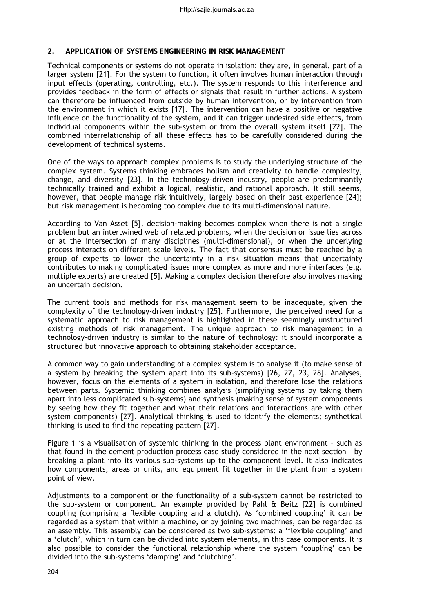#### **2. APPLICATION OF SYSTEMS ENGINEERING IN RISK MANAGEMENT**

Technical components or systems do not operate in isolation: they are, in general, part of a larger system [21]. For the system to function, it often involves human interaction through input effects (operating, controlling, etc.). The system responds to this interference and provides feedback in the form of effects or signals that result in further actions. A system can therefore be influenced from outside by human intervention, or by intervention from the environment in which it exists [17]. The intervention can have a positive or negative influence on the functionality of the system, and it can trigger undesired side effects, from individual components within the sub-system or from the overall system itself [22]. The combined interrelationship of all these effects has to be carefully considered during the development of technical systems.

One of the ways to approach complex problems is to study the underlying structure of the complex system. Systems thinking embraces holism and creativity to handle complexity, change, and diversity [23]. In the technology-driven industry, people are predominantly technically trained and exhibit a logical, realistic, and rational approach. It still seems, however, that people manage risk intuitively, largely based on their past experience [24]; but risk management is becoming too complex due to its multi-dimensional nature.

According to Van Asset [5], decision-making becomes complex when there is not a single problem but an intertwined web of related problems, when the decision or issue lies across or at the intersection of many disciplines (multi-dimensional), or when the underlying process interacts on different scale levels. The fact that consensus must be reached by a group of experts to lower the uncertainty in a risk situation means that uncertainty contributes to making complicated issues more complex as more and more interfaces (e.g. multiple experts) are created [5]. Making a complex decision therefore also involves making an uncertain decision.

The current tools and methods for risk management seem to be inadequate, given the complexity of the technology-driven industry [25]. Furthermore, the perceived need for a systematic approach to risk management is highlighted in these seemingly unstructured existing methods of risk management. The unique approach to risk management in a technology-driven industry is similar to the nature of technology: it should incorporate a structured but innovative approach to obtaining stakeholder acceptance.

A common way to gain understanding of a complex system is to analyse it (to make sense of a system by breaking the system apart into its sub-systems) [26, 27, 23, 28]. Analyses, however, focus on the elements of a system in isolation, and therefore lose the relations between parts. Systemic thinking combines analysis (simplifying systems by taking them apart into less complicated sub-systems) and synthesis (making sense of system components by seeing how they fit together and what their relations and interactions are with other system components) [27]. Analytical thinking is used to identify the elements; synthetical thinking is used to find the repeating pattern [27].

Figure 1 is a visualisation of systemic thinking in the process plant environment – such as that found in the cement production process case study considered in the next section – by breaking a plant into its various sub-systems up to the component level. It also indicates how components, areas or units, and equipment fit together in the plant from a system point of view.

Adjustments to a component or the functionality of a sub-system cannot be restricted to the sub-system or component. An example provided by Pahl & Beitz [22] is combined coupling (comprising a flexible coupling and a clutch). As 'combined coupling' it can be regarded as a system that within a machine, or by joining two machines, can be regarded as an assembly. This assembly can be considered as two sub-systems: a 'flexible coupling' and a 'clutch', which in turn can be divided into system elements, in this case components. It is also possible to consider the functional relationship where the system 'coupling' can be divided into the sub-systems 'damping' and 'clutching'.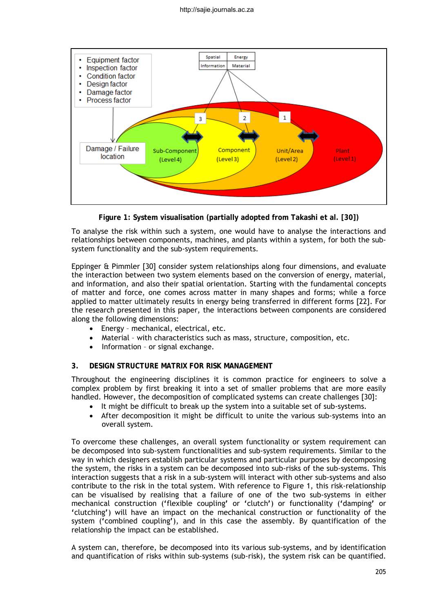

**Figure 1: System visualisation (partially adopted from Takashi et al. [30])** 

To analyse the risk within such a system, one would have to analyse the interactions and relationships between components, machines, and plants within a system, for both the subsystem functionality and the sub-system requirements.

Eppinger & Pimmler [30] consider system relationships along four dimensions, and evaluate the interaction between two system elements based on the conversion of energy, material, and information, and also their spatial orientation. Starting with the fundamental concepts of matter and force, one comes across matter in many shapes and forms; while a force applied to matter ultimately results in energy being transferred in different forms [22]. For the research presented in this paper, the interactions between components are considered along the following dimensions:

- Energy mechanical, electrical, etc.
- Material with characteristics such as mass, structure, composition, etc.
- Information or signal exchange.

## **3. DESIGN STRUCTURE MATRIX FOR RISK MANAGEMENT**

Throughout the engineering disciplines it is common practice for engineers to solve a complex problem by first breaking it into a set of smaller problems that are more easily handled. However, the decomposition of complicated systems can create challenges [30]:

- It might be difficult to break up the system into a suitable set of sub-systems.
- After decomposition it might be difficult to unite the various sub-systems into an overall system.

To overcome these challenges, an overall system functionality or system requirement can be decomposed into sub-system functionalities and sub-system requirements. Similar to the way in which designers establish particular systems and particular purposes by decomposing the system, the risks in a system can be decomposed into sub-risks of the sub-systems. This interaction suggests that a risk in a sub-system will interact with other sub-systems and also contribute to the risk in the total system. With reference to Figure 1, this risk-relationship can be visualised by realising that a failure of one of the two sub-systems in either mechanical construction (**'**flexible coupling**'** or **'**clutch**'**) or functionality (**'**damping**'** or **'**clutching**'**) will have an impact on the mechanical construction or functionality of the system (**'**combined coupling**'**), and in this case the assembly. By quantification of the relationship the impact can be established.

A system can, therefore, be decomposed into its various sub-systems, and by identification and quantification of risks within sub-systems (sub-risk), the system risk can be quantified.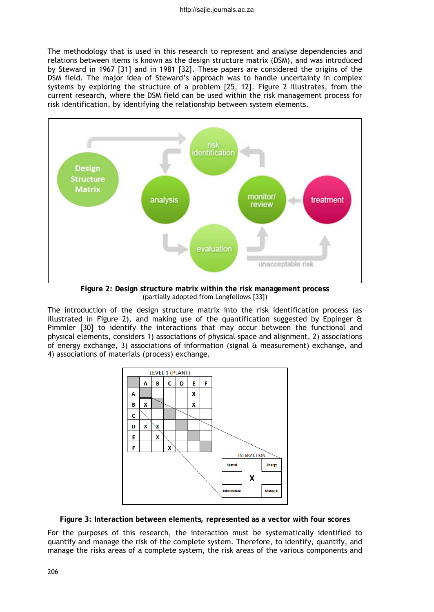The methodology that is used in this research to represent and analyse dependencies and relations between items is known as the design structure matrix (DSM), and was introduced by Steward in 1967 [31] and in 1981 [32]. These papers are considered the origins of the DSM field. The major idea of Steward's approach was to handle uncertainty in complex systems by exploring the structure of a problem [25, 12]. Figure 2 illustrates, from the current research, where the DSM field can be used within the risk management process for risk identification, by identifying the relationship between system elements.



**Figure 2: Design structure matrix within the risk management process** (partially adopted from Longfellows [33])

The introduction of the design structure matrix into the risk identification process (as illustrated in Figure 2), and making use of the quantification suggested by Eppinger  $\hat{a}$ Pimmler [30] to identify the interactions that may occur between the functional and physical elements, considers 1) associations of physical space and alignment, 2) associations of energy exchange, 3) associations of information (signal & measurement) exchange, and 4) associations of materials (process) exchange.



**Figure 3: Interaction between elements, represented as a vector with four scores**

For the purposes of this research, the interaction must be systematically identified to quantify and manage the risk of the complete system. Therefore, to identify, quantify, and manage the risks areas of a complete system, the risk areas of the various components and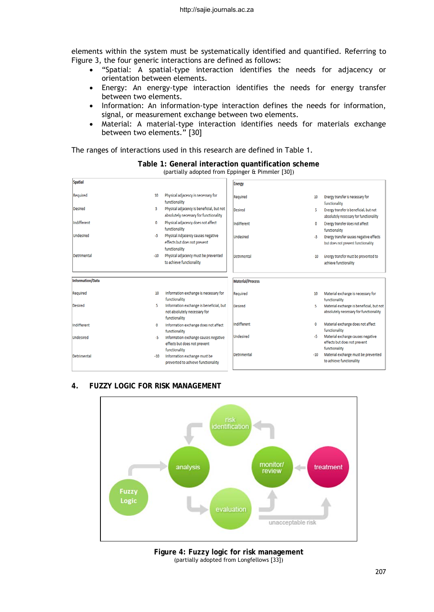elements within the system must be systematically identified and quantified. Referring to Figure 3, the four generic interactions are defined as follows:

- "Spatial: A spatial-type interaction identifies the needs for adjacency or orientation between elements.
- Energy: An energy-type interaction identifies the needs for energy transfer between two elements.
- Information: An information-type interaction defines the needs for information, signal, or measurement exchange between two elements.
- Material: A material-type interaction identifies needs for materials exchange between two elements." [30]

The ranges of interactions used in this research are defined in Table 1.

| <b>Energy</b><br>Physical adjacency is necessary for<br>Required<br>functionality                   | 10    | Energy transfer is necessary for                                                   |
|-----------------------------------------------------------------------------------------------------|-------|------------------------------------------------------------------------------------|
|                                                                                                     |       |                                                                                    |
|                                                                                                     |       | functionality                                                                      |
| Physical adjacency is beneficial, but not<br>Desired<br>absolutely necessary for functionality      | 5.    | Energy transfer is beneficial, but not<br>absolutely necessary for functionality   |
| Physical adjacency does not affect<br>Indifferent<br>functionality                                  | 0     | Energy transfer does not affect<br>functionality                                   |
| Physical Adjacency causes negative<br>Undesired<br>effects but does not prevent<br>functionality    | -5    | Energy transfer causes negative effects<br>but does not prevent functionality      |
| Physical adjacency must be prevented<br>Detrimental<br>to achieve functionality                     | $-10$ | Energy transfer must be prevented to<br>achieve functionality                      |
| <b>Material/Process</b>                                                                             |       |                                                                                    |
| Information exchange is necessary for<br>Required<br>functionality                                  | 10    | Material exchange is necessary for<br>functionality                                |
| Information exchange is beneficial, but<br>Desired<br>not absolutely necessary for<br>functionality | 5     | Material exchange is beneficial, but not<br>absolutely necessary for functionality |
| Indifferent<br>Information exchange does not affect<br>functionality                                | 0     | Material exchange does not affect<br>functionality                                 |
| <b>Undesired</b><br>Information exchange causes negative<br>effects but does not prevent            | -5    | Material exchange causes negative<br>effects but does not prevent                  |
| functionality                                                                                       |       | functionality                                                                      |
|                                                                                                     |       |                                                                                    |

### **Table 1: General interaction quantification scheme** (partially adopted from Eppinger & Pimmler [30])

## **4. FUZZY LOGIC FOR RISK MANAGEMENT**



**Figure 4: Fuzzy logic for risk management**  (partially adopted from Longfellows [33])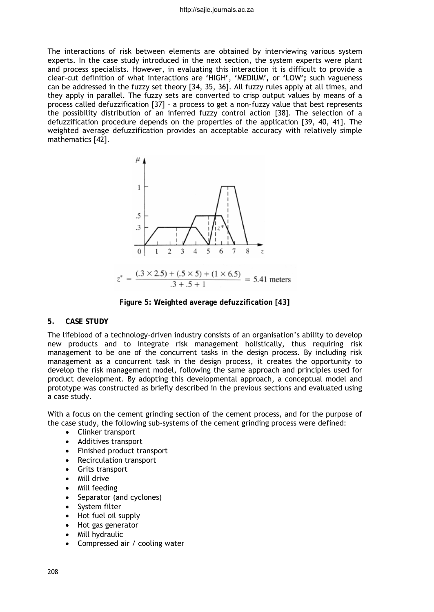The interactions of risk between elements are obtained by interviewing various system experts. In the case study introduced in the next section, the system experts were plant and process specialists. However, in evaluating this interaction it is difficult to provide a clear-cut definition of what interactions are **'**HIGH**'**, **'**MEDIUM**',** or **'**LOW**';** such vagueness can be addressed in the fuzzy set theory [34, 35, 36]. All fuzzy rules apply at all times, and they apply in parallel. The fuzzy sets are converted to crisp output values by means of a process called defuzzification [37] – a process to get a non-fuzzy value that best represents the possibility distribution of an inferred fuzzy control action [38]. The selection of a defuzzification procedure depends on the properties of the application [39, 40, 41]. The weighted average defuzzification provides an acceptable accuracy with relatively simple mathematics [42].



**Figure 5: Weighted average defuzzification [43]**

# **5. CASE STUDY**

The lifeblood of a technology-driven industry consists of an organisation's ability to develop new products and to integrate risk management holistically, thus requiring risk management to be one of the concurrent tasks in the design process. By including risk management as a concurrent task in the design process, it creates the opportunity to develop the risk management model, following the same approach and principles used for product development. By adopting this developmental approach, a conceptual model and prototype was constructed as briefly described in the previous sections and evaluated using a case study.

With a focus on the cement grinding section of the cement process, and for the purpose of the case study, the following sub-systems of the cement grinding process were defined:

- Clinker transport
- Additives transport
- Finished product transport
- Recirculation transport
- Grits transport
- Mill drive
- Mill feeding
- Separator (and cyclones)
- System filter
- Hot fuel oil supply
- Hot gas generator
- Mill hydraulic
- Compressed air / cooling water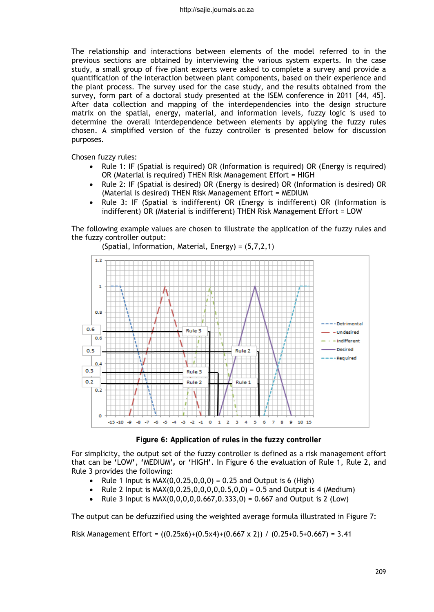The relationship and interactions between elements of the model referred to in the previous sections are obtained by interviewing the various system experts. In the case study, a small group of five plant experts were asked to complete a survey and provide a quantification of the interaction between plant components, based on their experience and the plant process. The survey used for the case study, and the results obtained from the survey, form part of a doctoral study presented at the ISEM conference in 2011 [44, 45]. After data collection and mapping of the interdependencies into the design structure matrix on the spatial, energy, material, and information levels, fuzzy logic is used to determine the overall interdependence between elements by applying the fuzzy rules chosen. A simplified version of the fuzzy controller is presented below for discussion purposes.

Chosen fuzzy rules:

- Rule 1: IF (Spatial is required) OR (Information is required) OR (Energy is required) OR (Material is required) THEN Risk Management Effort = HIGH
- Rule 2: IF (Spatial is desired) OR (Energy is desired) OR (Information is desired) OR (Material is desired) THEN Risk Management Effort = MEDIUM
- Rule 3: IF (Spatial is indifferent) OR (Energy is indifferent) OR (Information is indifferent) OR (Material is indifferent) THEN Risk Management Effort = LOW

The following example values are chosen to illustrate the application of the fuzzy rules and the fuzzy controller output:

 $1.2$ h o s  $0.6$ Rule<sub>3</sub> Undesired  $0.6$ Indifferent  $0.5$ **Desired** Rule<sub>2</sub> Required le  $0.4$  $0.3$ Rule 3  $0.2$ Rule 2 Rule 1  $0.2$  $\ddot{\mathbf{o}}$  $-5$   $-4$   $-3$   $-2$   $-1$  0 1 2  $-15 - 10$ -9  $-8$  $-7$  $-6$  $\overline{\mathbf{3}}$  $4<sub>5</sub>$  $\epsilon$  $\overline{7}$  $\mathbf{s}$ 9 10 15

(Spatial, Information, Material, Energy) = (5,7,2,1)

**Figure 6: Application of rules in the fuzzy controller**

For simplicity, the output set of the fuzzy controller is defined as a risk management effort that can be **'**LOW**'**, **'**MEDIUM**',** or **'**HIGH**'**. In Figure 6 the evaluation of Rule 1, Rule 2, and Rule 3 provides the following:

- Rule 1 Input is  $MAX(0, 0.25, 0.0, 0) = 0.25$  and Output is 6 (High)
- Rule 2 Input is  $MAX(0, 0.25, 0, 0, 0, 0, 0.5, 0, 0) = 0.5$  and Output is 4 (Medium)
- Rule 3 Input is  $MAX(0,0,0,0,0.667,0.333,0) = 0.667$  and Output is 2 (Low)

The output can be defuzzified using the weighted average formula illustrated in Figure 7:

Risk Management Effort =  $((0.25x6)+(0.5x4)+(0.667 \times 2))$  /  $(0.25+0.5+0.667) = 3.41$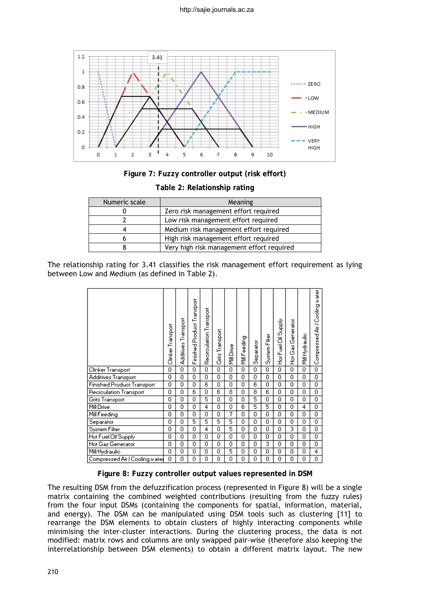

**Figure 7: Fuzzy controller output (risk effort)** 

| Numeric scale | Meaning                                   |  |  |  |  |  |
|---------------|-------------------------------------------|--|--|--|--|--|
|               | Zero risk management effort required      |  |  |  |  |  |
|               | Low risk management effort required       |  |  |  |  |  |
|               | Medium risk management effort required    |  |  |  |  |  |
|               | High risk management effort required      |  |  |  |  |  |
|               | Very high risk management effort required |  |  |  |  |  |

The relationship rating for 3.41 classifies the risk management effort requirement as lying between Low and Medium (as defined in Table 2).

|                                | Clinker Transport | Additives Transport | Finished Product Transport | Recirculation Transport | Grits Transport | Mill Drive | Mill Feeding | Separator | System Filter  | Oil Supply<br>Hot Fuel | Generator<br>ة<br>ڤ<br>훈 | Mill Hydraulic | Compressed Air / Cooling water |
|--------------------------------|-------------------|---------------------|----------------------------|-------------------------|-----------------|------------|--------------|-----------|----------------|------------------------|--------------------------|----------------|--------------------------------|
| Clinker Transport              | $\overline{0}$    | Ō                   | ō                          | 0                       | ō               | ō          | 0            | 0         | 0              | 0                      | 0                        | ō              | ō                              |
| Additives Transport            | 0                 | 0                   | 0                          | $\Omega$                | 0               | 0          | 0            | 0         | 0              | 0                      | 0                        | 0              | $\overline{0}$                 |
| Finished Product Transport     | 0                 | 0                   | 0                          | 6                       | 0               | 0          | 0            | 6         | 0              | 0                      | 0                        | 0              | $\overline{0}$                 |
| Recioulation Transport         | 0                 | ō                   | $\overline{6}$             | 0                       | $\overline{6}$  | 8          | 0            | 8         | $\overline{6}$ | 0                      | 0                        | 0              | ō                              |
| Grits Transport                | 0                 | 0                   | 0                          | 5                       | 0               | 0          | 0            | 5         | 0              | 0                      | 0                        | 0              | 0                              |
| Mill Drive                     | 0                 | ō                   | ō                          | 4                       | 0               | 0          | 6            | 5         | 5              | 0                      | 0                        | 4              | Ō                              |
| Mill Feeding                   | 0                 | 0                   | 0                          | 0                       | 0               | 7          | 0            | 0         | 0              | 0                      | 0                        | 0              | $\overline{0}$                 |
| Separator                      | 0                 | 0                   | 5                          | 5                       | 5               | 5          | 0            | 0         | 0              | 0                      | 0                        | 0              | $\overline{0}$                 |
| System Filter                  | 0                 | 0                   | 0                          | 4                       | 0               | 5          | 0            | Ω         | Ō              | 0                      | 3                        | 0              | ō                              |
| Hot Fuel Oil Supply            | 0                 | 0                   | 0                          | 0                       | 0               | 0          | 0            | 0         | 0              | 0                      | 0                        | 0              | ō                              |
| Hot Gas Generator              | 0                 | 0                   | 0                          | 0                       | 0               | 0          | 0            | 0         | 3              | 0                      | 0                        | 0              | ō                              |
| Mill Hydraulic                 | 0                 | 0                   | 0                          | 0                       | 0               | 5          | Ω            | 0         | 0              | 0                      | 0                        | 0              | 4                              |
| Compressed Air / Cooling water | 0                 | 0                   | 0                          | 0                       | 0               | 0          | 0            | 0         | 0              | 0                      | 0                        | 0              | ō                              |

**Figure 8: Fuzzy controller output values represented in DSM**

The resulting DSM from the defuzzification process (represented in Figure 8) will be a single matrix containing the combined weighted contributions (resulting from the fuzzy rules) from the four input DSMs (containing the components for spatial, information, material, and energy). The DSM can be manipulated using DSM tools such as clustering [11] to rearrange the DSM elements to obtain clusters of highly interacting components while minimising the inter-cluster interactions. During the clustering process, the data is not modified: matrix rows and columns are only swapped pair-wise (therefore also keeping the interrelationship between DSM elements) to obtain a different matrix layout. The new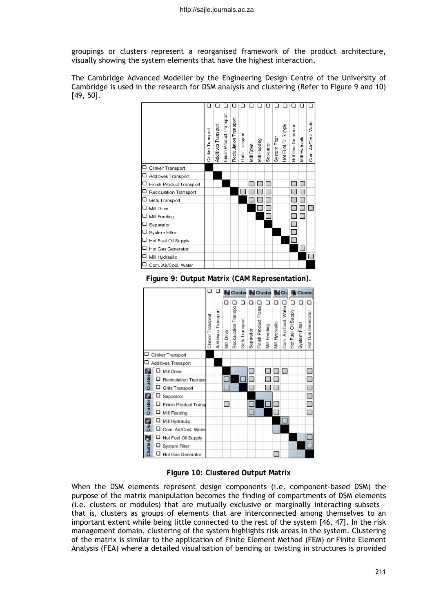groupings or clusters represent a reorganised framework of the product architecture, visually showing the system elements that have the highest interaction.

The Cambridge Advanced Modeller by the Engineering Design Centre of the University of Cambridge is used in the research for DSM analysis and clustering (Refer to Figure 9 and 10) [49, 50].



**Figure 9: Output Matrix (CAM Representation).**



**Figure 10: Clustered Output Matrix**

When the DSM elements represent design components (i.e. component-based DSM) the purpose of the matrix manipulation becomes the finding of compartments of DSM elements (i.e. clusters or modules) that are mutually exclusive or marginally interacting subsets – that is, clusters as groups of elements that are interconnected among themselves to an important extent while being little connected to the rest of the system [46, 47]. In the risk management domain, clustering of the system highlights risk areas in the system. Clustering of the matrix is similar to the application of Finite Element Method (FEM) or Finite Element Analysis (FEA) where a detailed visualisation of bending or twisting in structures is provided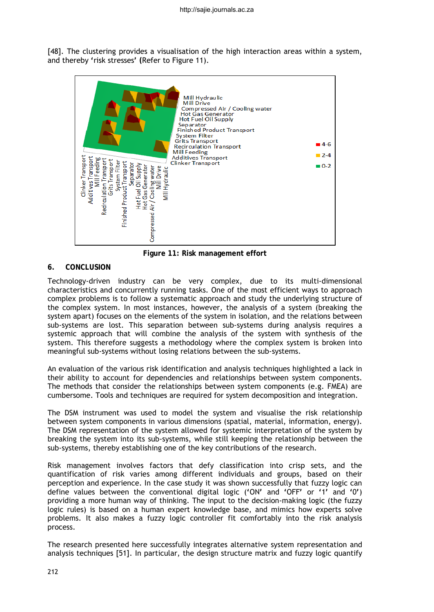[48]. The clustering provides a visualisation of the high interaction areas within a system, and thereby **'**risk stresses**' (**Refer to Figure 11).



**Figure 11: Risk management effort**

# **6. CONCLUSION**

Technology-driven industry can be very complex, due to its multi-dimensional characteristics and concurrently running tasks. One of the most efficient ways to approach complex problems is to follow a systematic approach and study the underlying structure of the complex system. In most instances, however, the analysis of a system (breaking the system apart) focuses on the elements of the system in isolation, and the relations between sub-systems are lost. This separation between sub-systems during analysis requires a systemic approach that will combine the analysis of the system with synthesis of the system. This therefore suggests a methodology where the complex system is broken into meaningful sub-systems without losing relations between the sub-systems.

An evaluation of the various risk identification and analysis techniques highlighted a lack in their ability to account for dependencies and relationships between system components. The methods that consider the relationships between system components (e.g. FMEA) are cumbersome. Tools and techniques are required for system decomposition and integration.

The DSM instrument was used to model the system and visualise the risk relationship between system components in various dimensions (spatial, material, information, energy). The DSM representation of the system allowed for systemic interpretation of the system by breaking the system into its sub-systems, while still keeping the relationship between the sub-systems, thereby establishing one of the key contributions of the research.

Risk management involves factors that defy classification into crisp sets, and the quantification of risk varies among different individuals and groups, based on their perception and experience. In the case study it was shown successfully that fuzzy logic can define values between the conventional digital logic (**'**ON**'** and **'**OFF**'** or **'**1**'** and **'**0**'**) providing a more human way of thinking. The input to the decision-making logic (the fuzzy logic rules) is based on a human expert knowledge base, and mimics how experts solve problems. It also makes a fuzzy logic controller fit comfortably into the risk analysis process.

The research presented here successfully integrates alternative system representation and analysis techniques [51]. In particular, the design structure matrix and fuzzy logic quantify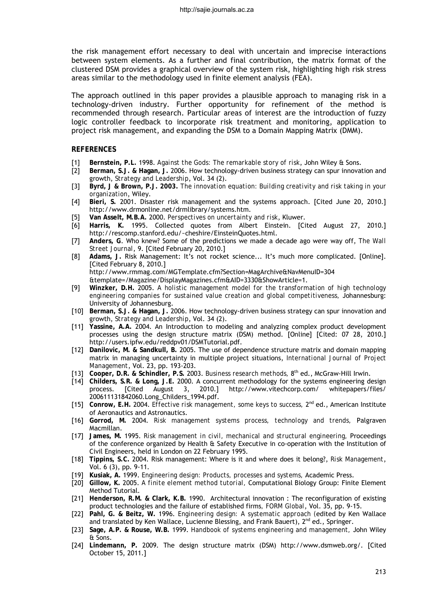the risk management effort necessary to deal with uncertain and imprecise interactions between system elements. As a further and final contribution, the matrix format of the clustered DSM provides a graphical overview of the system risk, highlighting high risk stress areas similar to the methodology used in finite element analysis (FEA).

The approach outlined in this paper provides a plausible approach to managing risk in a technology-driven industry. Further opportunity for refinement of the method is recommended through research. Particular areas of interest are the introduction of fuzzy logic controller feedback to incorporate risk treatment and monitoring, application to project risk management, and expanding the DSM to a Domain Mapping Matrix (DMM).

#### **REFERENCES**

- [1] **Bernstein, P.L.** 1998. *Against the Gods: The remarkable story of risk*, John Wiley & Sons.
- [2] **Berman, S.J. & Hagan, J.** 2006. How technology-driven business strategy can spur innovation and growth, *Strategy and Leadership*, Vol. 34 (2).
- [3] **Byrd, J & Brown, P.J. 2003.** *The innovation equation: Building creativity and risk taking in your organization*, Wiley.
- [4] **Bieri, S.** 2001. Disaster risk management and the systems approach. [Cited June 20, 2010.] http://www.drmonline.net/drmlibrary/systems.htm.
- [5] **Van Asselt, M.B.A.** 2000. *Perspectives on uncertainty and risk*, Kluwer.
- [6] **Harris, K.** 1995. Collected quotes from Albert Einstein. [Cited August 27, 2010.] http://rescomp.stanford.edu/~cheshire/EinsteinQuotes.html.
- [7] **Anders, G**. Who knew? Some of the predictions we made a decade ago were way off, *The Wall Street Journal*, 9. [Cited February 20, 2010.]
- [8] **Adams, J.** Risk Management: It's not rocket science... It's much more complicated. [Online]. [Cited February 8, 2010.] http://www.rmmag.com/MGTemplate.cfm?Section=MagArchive&NavMenuID=304 &template=/Magazine/DisplayMagazines.cfm&AID=3330&ShowArticle=1.
- [9] **Winzker, D.H.** 2005. *A holistic management model for the transformation of high technology engineering companies for sustained value creation and global competitiveness,* Johannesburg: University of Johannesburg.
- [10] **Berman, S.J. & Hagan, J.** 2006. How technology-driven business strategy can spur innovation and growth, *Strategy and Leadership*, Vol. 34 (2).
- [11] **Yassine, A.A.** 2004. An Introduction to modeling and analyzing complex product development processes using the design structure matrix (DSM) method. [Online] [Cited: 07 28, 2010.] http://users.ipfw.edu/reddpv01/DSMTutorial.pdf.
- [12] **Danilovic, M. & Sandkull, B.** 2005. The use of dependence structure matrix and domain mapping matrix in managing uncertainty in multiple project situations, *International Journal of Project Management*, Vol. 23, pp. 193-203.
- [13] **Cooper, D.R. & Schindler, P.S.** 2003. *Business research methods,* 8th ed., McGraw-Hill Irwin.
- [14] **Childers, S.R. & Long, J.E.** 2000. A concurrent methodology for the systems engineering design process. [Cited August 3, 2010.] 200611131842060.Long\_Childers\_1994.pdf.
- [15] **Conrow, E.H.** 2004. *Effective risk management, some keys to success,* 2nd ed., American Institute of Aeronautics and Astronautics.
- [16] **Gorrod, M.** 2004. *Risk management systems process, technology and trends,* Palgraven Macmillan.
- [17] **James, M.** 1995. *Risk management in civil, mechanical and structural engineering,* Proceedings of the conference organized by Health & Safety Executive in co-operation with the Institution of Civil Engineers, held in London on 22 February 1995.
- [18] **Tippins, S.C.** 2004. Risk management: Where is it and where does it belong?, *Risk Management*, Vol. 6 (3), pp. 9-11.
- [19] **Kusiak, A.** 1999. *Engineering design: Products, processes and systems,* Academic Press.
- [20] **Gillow, K.** 2005. *A finite element method tutorial,* Computational Biology Group: Finite Element Method Tutorial.
- [21] **Henderson, R.M. & Clark, K.B.** 1990. Architectural innovation : The reconfiguration of existing product technologies and the failure of established firms*, FORM Global*, Vol. 35, pp. 9-15.
- [22] **Pahl, G. & Beitz, W.** 1996. *Engineering design: A systematic approach (*edited by Ken Wallace and translated by Ken Wallace, Lucienne Blessing, and Frank Bauert), 2<sup>nd</sup> ed., Springer.
- [23] **Sage, A.P. & Rouse, W.B.** 1999. *Handbook of systems engineering and management,* John Wiley & Sons.
- [24] **Lindemann, P.** 2009. The design structure matrix (DSM) http://www.dsmweb.org/. [Cited October 15, 2011.]